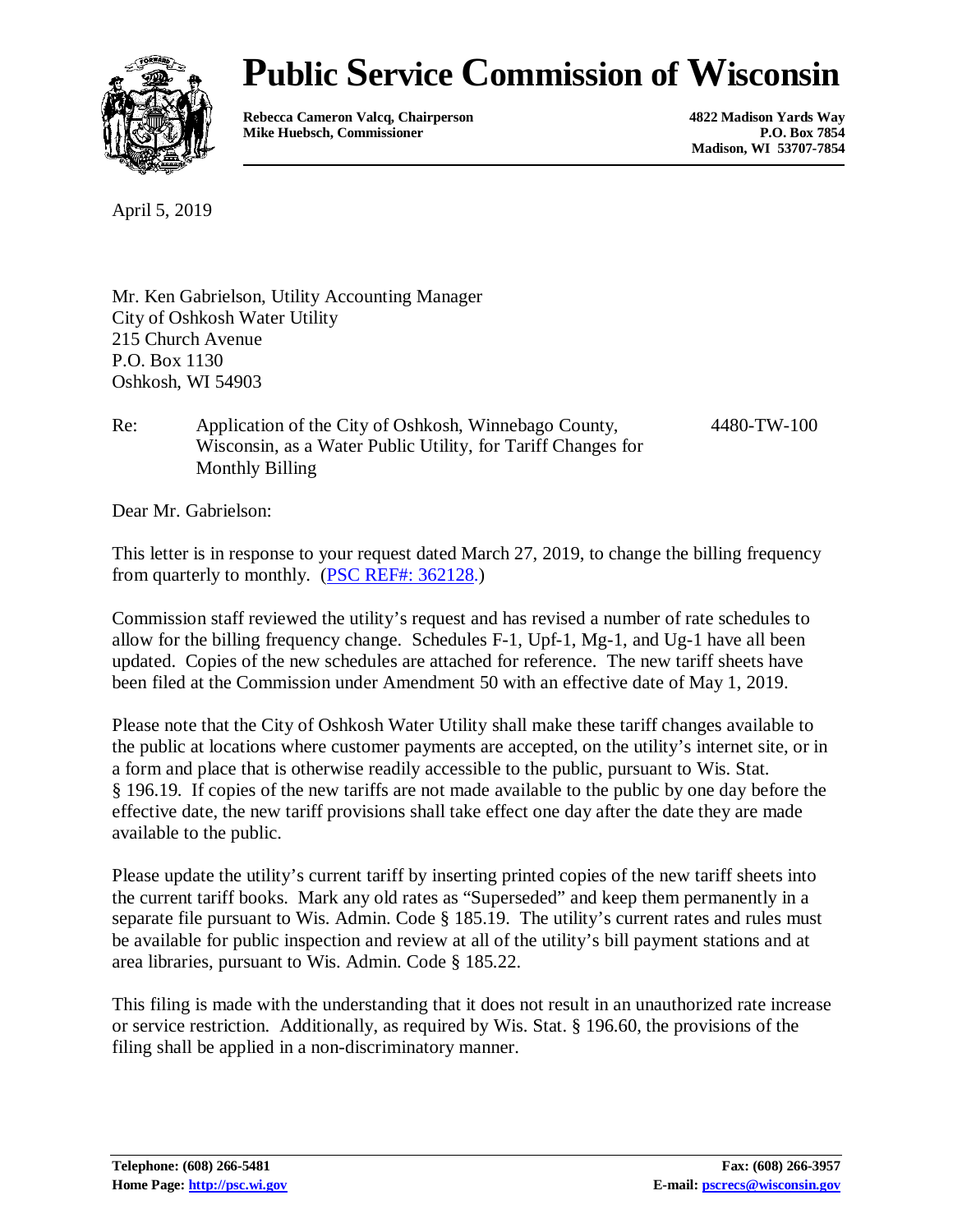

# **Public Service Commission of Wisconsin**

**Rebecca Cameron Valcq, Chairperson 4822 Madison Yards Way Mike Huebsch, Commissioner** 

**Madison, WI 53707-7854**

April 5, 2019

Mr. Ken Gabrielson, Utility Accounting Manager City of Oshkosh Water Utility 215 Church Avenue P.O. Box 1130 Oshkosh, WI 54903

Re: Application of the City of Oshkosh, Winnebago County, Wisconsin, as a Water Public Utility, for Tariff Changes for Monthly Billing

4480-TW-100

Dear Mr. Gabrielson:

This letter is in response to your request dated March 27, 2019, to change the billing frequency from quarterly to monthly. [\(PSC REF#: 362128.](http://apps.psc.wi.gov/pages/viewdoc.htm?docid=%20362128))

Commission staff reviewed the utility's request and has revised a number of rate schedules to allow for the billing frequency change. Schedules F-1, Upf-1, Mg-1, and Ug-1 have all been updated. Copies of the new schedules are attached for reference. The new tariff sheets have been filed at the Commission under Amendment 50 with an effective date of May 1, 2019.

Please note that the City of Oshkosh Water Utility shall make these tariff changes available to the public at locations where customer payments are accepted, on the utility's internet site, or in a form and place that is otherwise readily accessible to the public, pursuant to Wis. Stat. § 196.19. If copies of the new tariffs are not made available to the public by one day before the effective date, the new tariff provisions shall take effect one day after the date they are made available to the public.

Please update the utility's current tariff by inserting printed copies of the new tariff sheets into the current tariff books. Mark any old rates as "Superseded" and keep them permanently in a separate file pursuant to Wis. Admin. Code § 185.19. The utility's current rates and rules must be available for public inspection and review at all of the utility's bill payment stations and at area libraries, pursuant to Wis. Admin. Code § 185.22.

This filing is made with the understanding that it does not result in an unauthorized rate increase or service restriction. Additionally, as required by Wis. Stat. § 196.60, the provisions of the filing shall be applied in a non-discriminatory manner.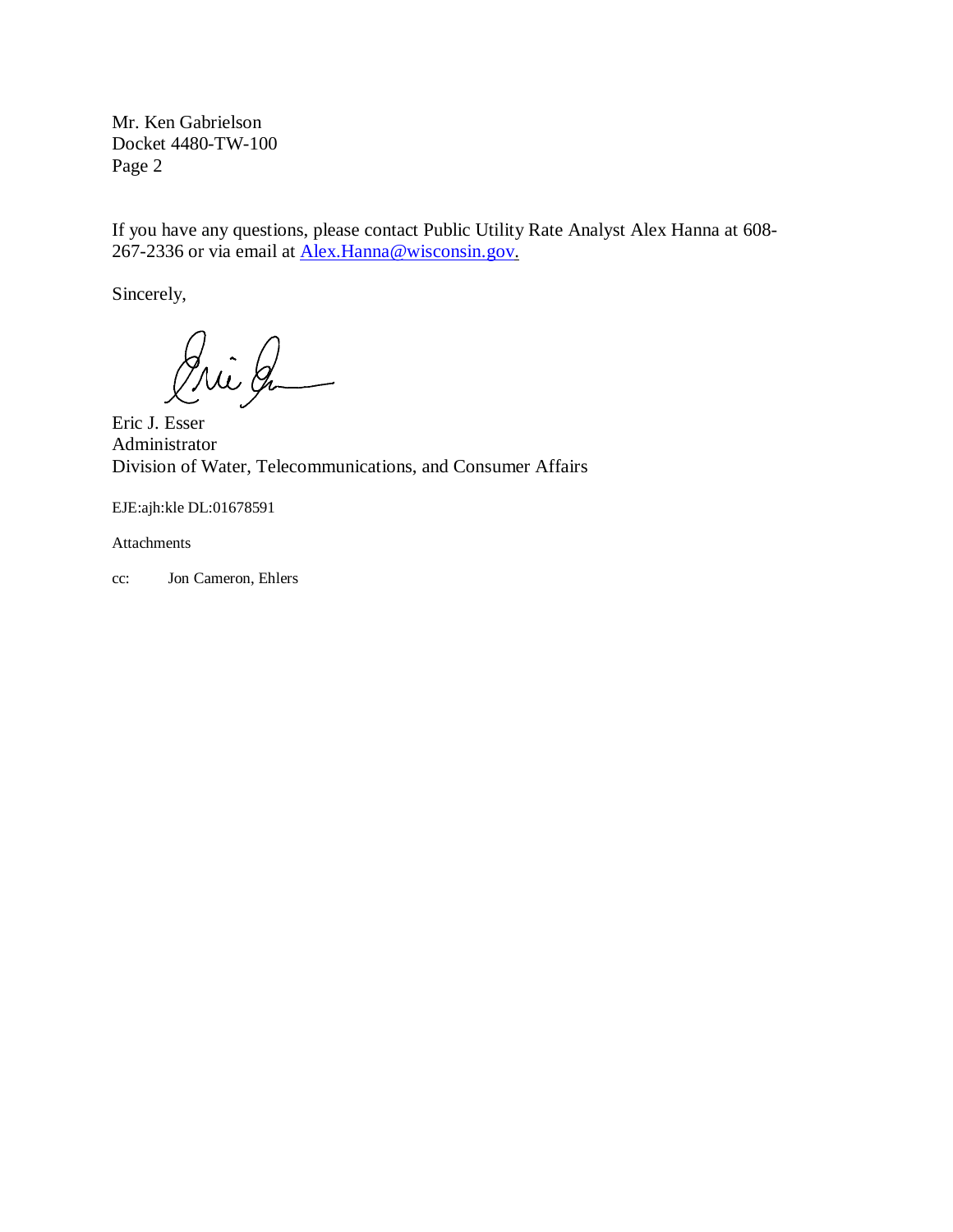Mr. Ken Gabrielson Docket 4480-TW-100 Page 2

If you have any questions, please contact Public Utility Rate Analyst Alex Hanna at 608- 267-2336 or via email at [Alex.Hanna@wisconsin.gov.](mailto:Alex.Hanna@wisconsin.gov)

Sincerely,

Pri Ja

Eric J. Esser Administrator Division of Water, Telecommunications, and Consumer Affairs

EJE:ajh:kle DL:01678591

Attachments

cc: Jon Cameron, Ehlers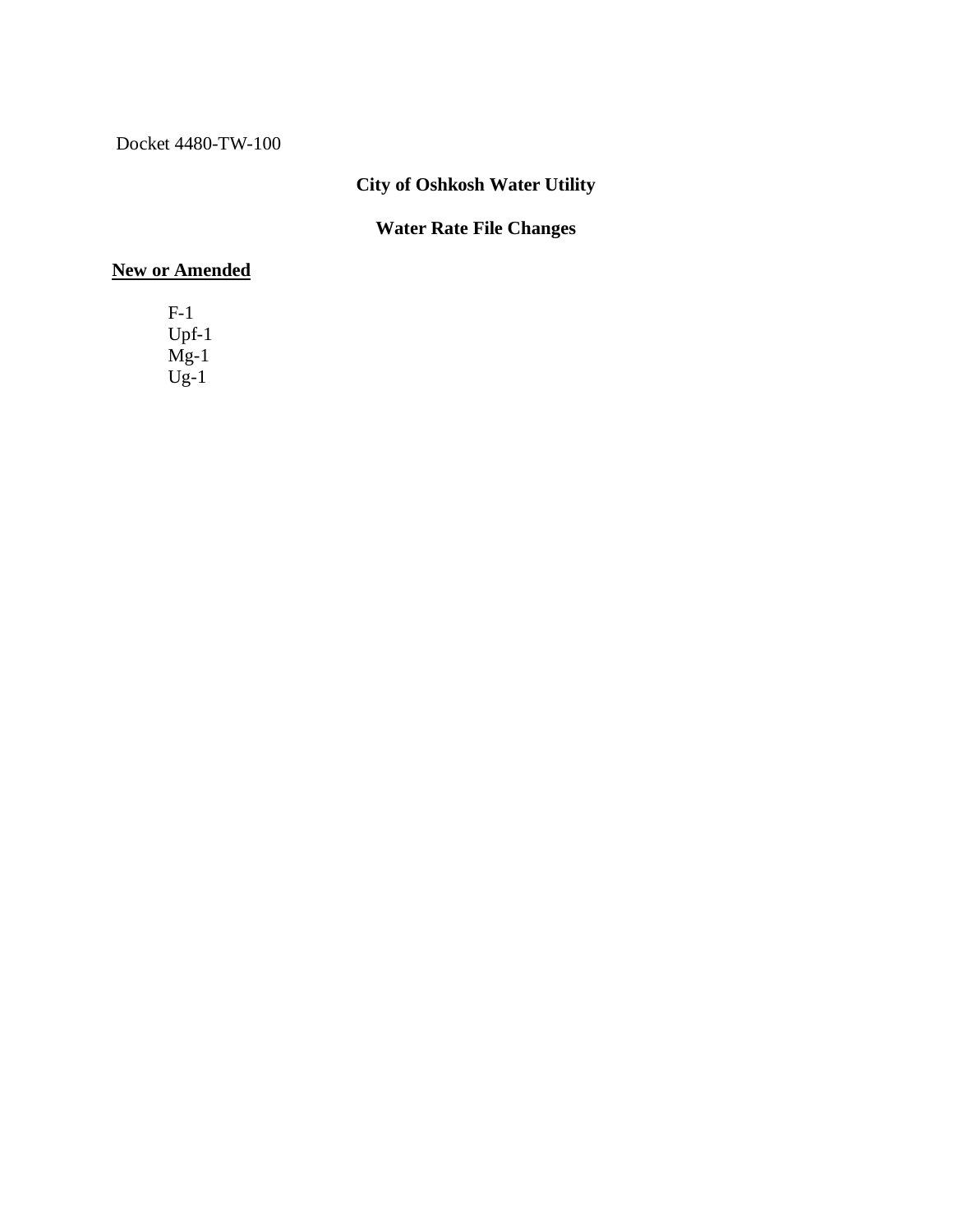Docket 4480-TW-100

## **City of Oshkosh Water Utility**

#### **Water Rate File Changes**

#### **New or Amended**

F-1 Upf-1 Mg-1  $Ug-1$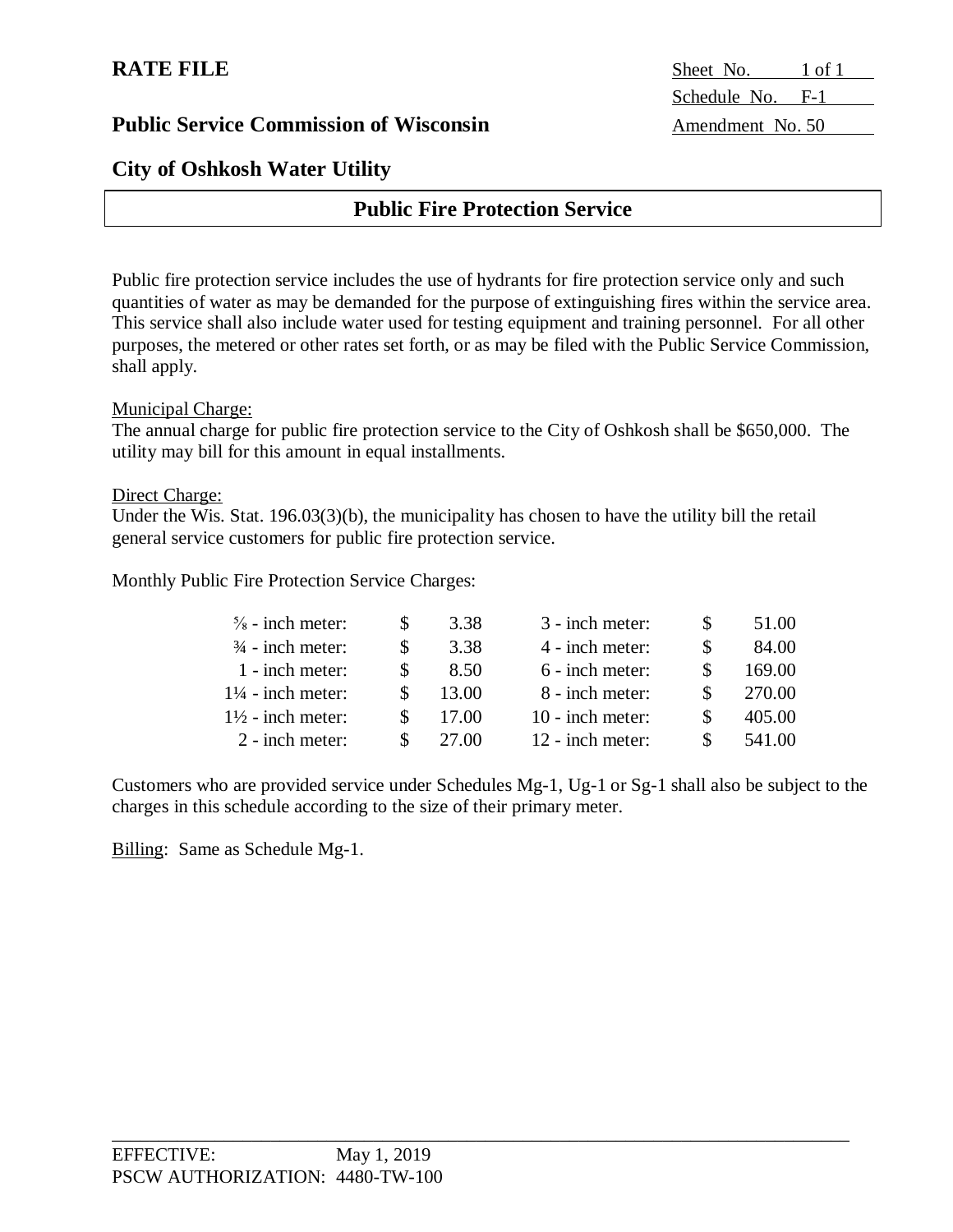#### **City of Oshkosh Water Utility**

### **Public Fire Protection Service**

Public fire protection service includes the use of hydrants for fire protection service only and such quantities of water as may be demanded for the purpose of extinguishing fires within the service area. This service shall also include water used for testing equipment and training personnel. For all other purposes, the metered or other rates set forth, or as may be filed with the Public Service Commission, shall apply.

Municipal Charge:

The annual charge for public fire protection service to the City of Oshkosh shall be \$650,000. The utility may bill for this amount in equal installments.

#### Direct Charge:

Under the Wis. Stat. 196.03(3)(b), the municipality has chosen to have the utility bill the retail general service customers for public fire protection service.

Monthly Public Fire Protection Service Charges:

| $\frac{5}{8}$ - inch meter:  | 3.38  | 3 - inch meter:    | 51.00  |
|------------------------------|-------|--------------------|--------|
| $\frac{3}{4}$ - inch meter:  | 3.38  | 4 - inch meter:    | 84.00  |
| 1 - inch meter:              | 8.50  | 6 - inch meter:    | 169.00 |
| $1\frac{1}{4}$ - inch meter: | 13.00 | 8 - inch meter:    | 270.00 |
| $1\frac{1}{2}$ - inch meter: | 17.00 | $10$ - inch meter: | 405.00 |
| $2$ - inch meter:            | 27.00 | $12$ - inch meter: | 541.00 |

Customers who are provided service under Schedules Mg-1, Ug-1 or Sg-1 shall also be subject to the charges in this schedule according to the size of their primary meter.

Billing: Same as Schedule Mg-1.

**RATE FILE** Sheet No. 1 of 1 Schedule No. F-1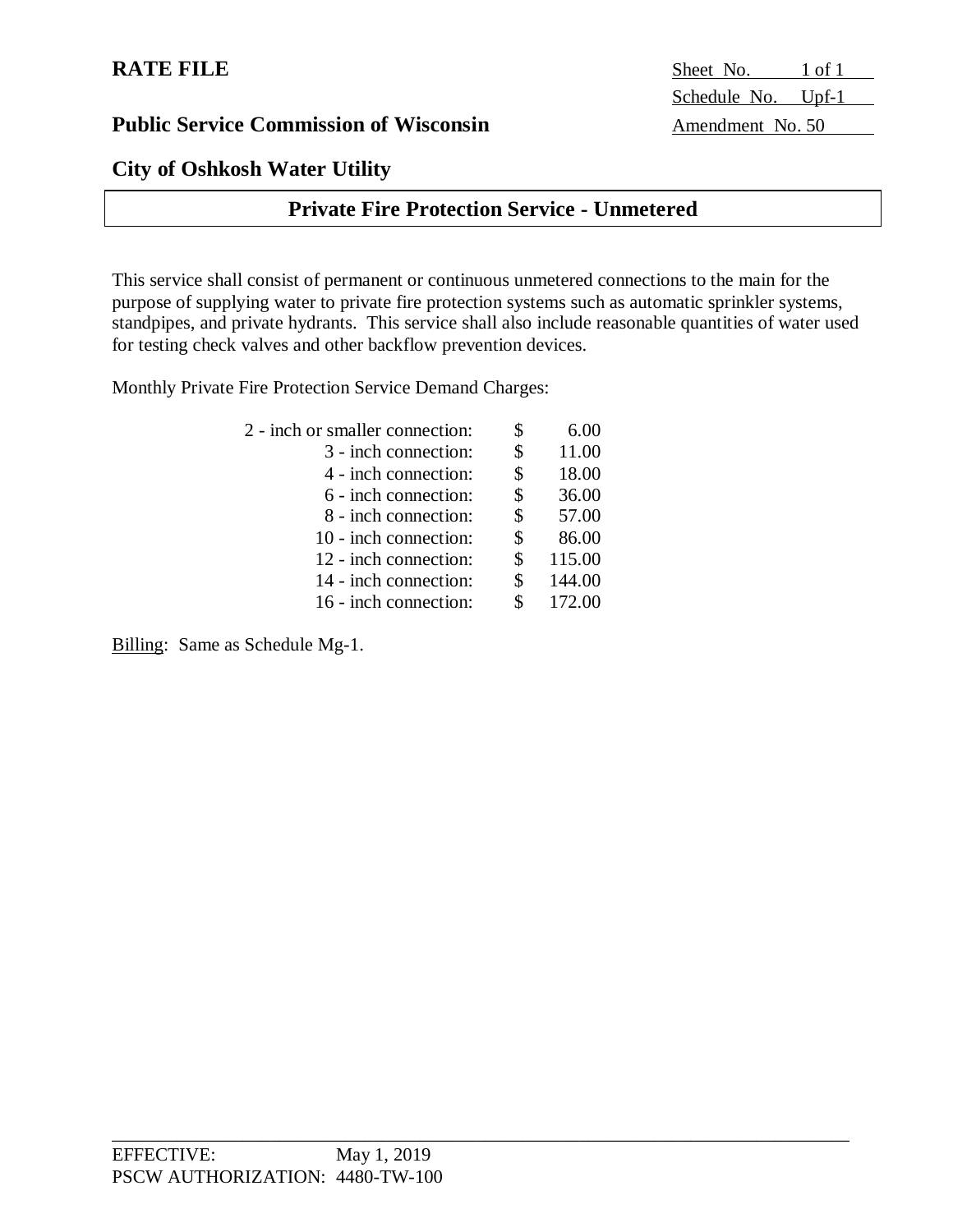#### **City of Oshkosh Water Utility**

### **Private Fire Protection Service - Unmetered**

This service shall consist of permanent or continuous unmetered connections to the main for the purpose of supplying water to private fire protection systems such as automatic sprinkler systems, standpipes, and private hydrants. This service shall also include reasonable quantities of water used for testing check valves and other backflow prevention devices.

\_\_\_\_\_\_\_\_\_\_\_\_\_\_\_\_\_\_\_\_\_\_\_\_\_\_\_\_\_\_\_\_\_\_\_\_\_\_\_\_\_\_\_\_\_\_\_\_\_\_\_\_\_\_\_\_\_\_\_\_\_\_\_\_\_\_\_\_\_\_\_\_\_\_\_\_\_\_\_

Monthly Private Fire Protection Service Demand Charges:

| 2 - inch or smaller connection: | \$<br>6.00   |
|---------------------------------|--------------|
| 3 - inch connection:            | \$<br>11.00  |
| 4 - inch connection:            | \$<br>18.00  |
| 6 - inch connection:            | \$<br>36.00  |
| 8 - inch connection:            | \$<br>57.00  |
| 10 - inch connection:           | \$<br>86.00  |
| 12 - inch connection:           | \$<br>115.00 |
| 14 - inch connection:           | \$<br>144.00 |
| 16 - inch connection:           | 172.00       |

Billing: Same as Schedule Mg-1.

**RATE FILE** Sheet No. 1 of 1 Schedule No. Upf-1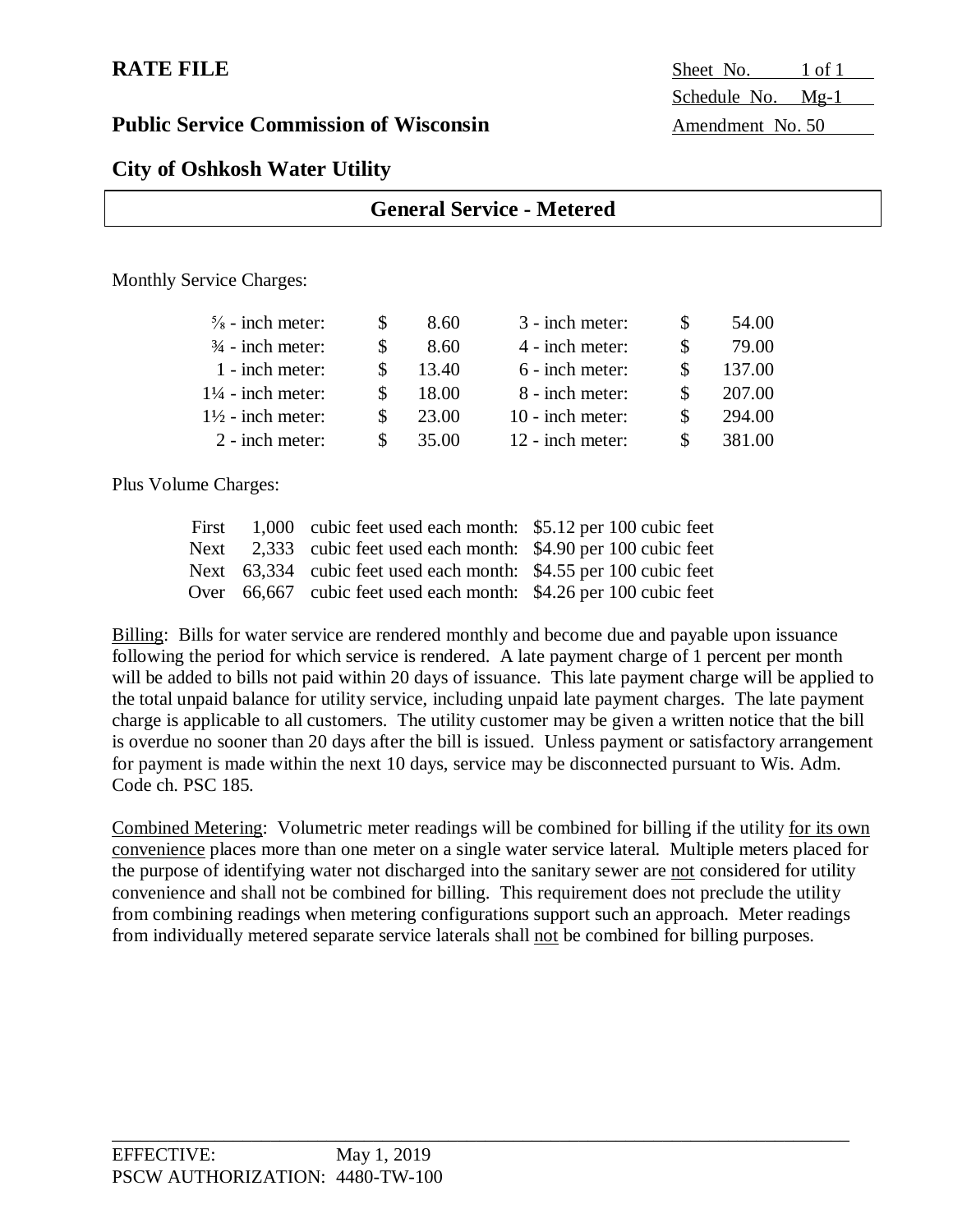**RATE FILE** Sheet No. 1 of 1 Schedule No. Mg-1

#### **City of Oshkosh Water Utility**

| <b>General Service - Metered</b> |  |      |                 |  |       |  |
|----------------------------------|--|------|-----------------|--|-------|--|
|                                  |  |      |                 |  |       |  |
| <b>Monthly Service Charges:</b>  |  |      |                 |  |       |  |
| $\frac{5}{8}$ - inch meter:      |  | 8.60 | 3 - inch meter: |  | 54.00 |  |

| $\frac{1}{8}$ = 111011 1110101. | $\sqrt{2}$ | 0.001 | <u>J - Muh Mulu</u> | JT.VV  |
|---------------------------------|------------|-------|---------------------|--------|
| $\frac{3}{4}$ - inch meter:     |            | 8.60  | 4 - inch meter:     | 79.00  |
| 1 - inch meter:                 |            | 13.40 | 6 - inch meter:     | 137.00 |
| $1\frac{1}{4}$ - inch meter:    |            | 18.00 | 8 - inch meter:     | 207.00 |
| $1\frac{1}{2}$ - inch meter:    |            | 23.00 | $10$ - inch meter:  | 294.00 |
| $2$ - inch meter:               | SS.        | 35.00 | 12 - inch meter:    | 381.00 |
|                                 |            |       |                     |        |

Plus Volume Charges:

|  | First 1,000 cubic feet used each month: \$5.12 per 100 cubic feet |  |
|--|-------------------------------------------------------------------|--|
|  | Next 2,333 cubic feet used each month: \$4.90 per 100 cubic feet  |  |
|  | Next 63,334 cubic feet used each month: \$4.55 per 100 cubic feet |  |
|  | Over 66,667 cubic feet used each month: \$4.26 per 100 cubic feet |  |

Billing: Bills for water service are rendered monthly and become due and payable upon issuance following the period for which service is rendered. A late payment charge of 1 percent per month will be added to bills not paid within 20 days of issuance. This late payment charge will be applied to the total unpaid balance for utility service, including unpaid late payment charges. The late payment charge is applicable to all customers. The utility customer may be given a written notice that the bill is overdue no sooner than 20 days after the bill is issued. Unless payment or satisfactory arrangement for payment is made within the next 10 days, service may be disconnected pursuant to Wis. Adm. Code ch. PSC 185.

Combined Metering: Volumetric meter readings will be combined for billing if the utility for its own convenience places more than one meter on a single water service lateral. Multiple meters placed for the purpose of identifying water not discharged into the sanitary sewer are not considered for utility convenience and shall not be combined for billing. This requirement does not preclude the utility from combining readings when metering configurations support such an approach. Meter readings from individually metered separate service laterals shall not be combined for billing purposes.